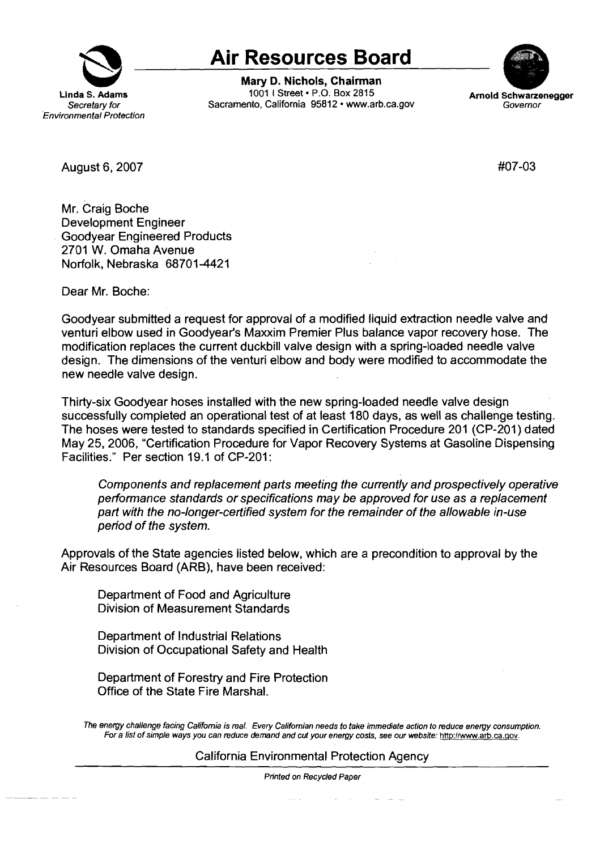

## **Air Resources Board**

**Mary D. Nichols, Chairman**  1001 I Street• P.O. Box 2815 Sacramento, California 95812 • <www.arb.ca.gov>



August 6, 2007

#07-03

Mr. Craig Boche Development Engineer Goodyear Engineered Products 2701 W. Omaha Avenue Norfolk, Nebraska 68701-4421

Dear Mr. Boche:

Goodyear submitted a request for approval of a modified liquid extraction needle valve and venturi elbow used in Goodyear's Maxxim Premier Plus balance vapor recovery hose. The modification replaces the current duckbill valve design with a spring-loaded needle valve design. The dimensions of the venturi elbow and body were modified to accommodate the new needle valve design.

Thirty-six Goodyear hoses installed with the new spring-loaded needle valve design successfully completed an operational test of at least 180 days, as well as challenge testing. The hoses were tested to standards specified in Certification Procedure 201 (CP-201) dated May 25, 2006, "Certification Procedure for Vapor Recovery Systems at Gasoline Dispensing Facilities." Per section 19.1 of CP-201:

Components and replacement parts meeting the currently and prospectively operative performance standards or specifications may be approved for use as a replacement part with the no-longer-certified system for the remainder of the allowable in-use period of the system.

Approvals of the State agencies listed below, which are a precondition to approval by the Air Resources Board (ARB), have been received:

Department of Food and Agriculture Division of Measurement Standards

Department of Industrial Relations Division of Occupational Safety and Health

Department of Forestry and Fire Protection Office of the State Fire Marshal.

The energy challenge facing California is real. Every Californian needs to take immediate action to reduce energy consumption. For a list of simple ways you can reduce demand and cut your energy costs, see our website: <http://www.arb.ca.gov>.

California Environmental Protection Agency

Printed on Recycled Paper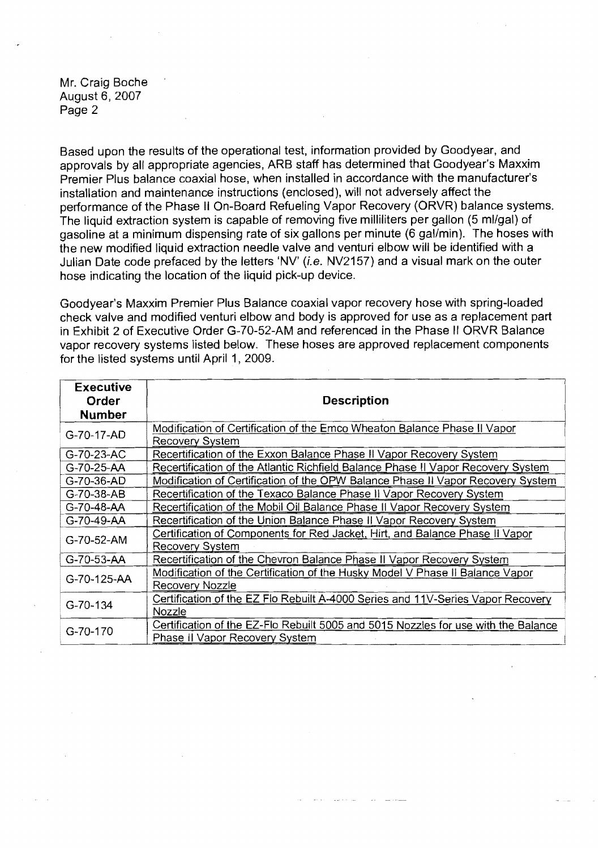Mr. Craig Boche August 6, 2007 Page 2

Based upon the results of the operational test, information provided by Goodyear, and approvals by all appropriate agencies, ARB staff has determined that Goodyear's Maxxim Premier Plus balance coaxial hose, when installed in accordance with the manufacturer's installation and maintenance instructions (enclosed), will not adversely affect the performance of the Phase II On-Board Refueling Vapor Recovery (ORVR) balance systems. The liquid extraction system is capable of removing five milliliters per gallon (5 ml/gal) of gasoline at a minimum dispensing rate of six gallons per minute (6 gal/min). The hoses with the new modified liquid extraction needle valve and venturi elbow will be identified with a Julian Date code prefaced by the letters 'NV' (i.e. NV2157) and a visual mark on the outer hose indicating the location of the liquid pick-up device.

Goodyear's Maxxim Premier Plus Balance coaxial vapor recovery hose with spring-loaded check valve and modified venturi elbow and body is approved for use as a replacement part in Exhibit 2 of Executive Order G-70-52-AM and referenced in the Phase II ORVR Balance vapor recovery systems listed below. These hoses are approved replacement components for the listed systems until April 1, 2009.

| <b>Executive</b>    |                                                                                    |
|---------------------|------------------------------------------------------------------------------------|
| Order               | <b>Description</b>                                                                 |
| <b>Number</b>       |                                                                                    |
| G-70-17-AD          | Modification of Certification of the Emco Wheaton Balance Phase II Vapor           |
|                     | <b>Recovery System</b>                                                             |
| G-70-23-AC          | Recertification of the Exxon Balance Phase II Vapor Recovery System                |
| G-70-25-AA          | Recertification of the Atlantic Richfield Balance Phase II Vapor Recovery System   |
| G-70-36-AD          | Modification of Certification of the OPW Balance Phase II Vapor Recovery System    |
| G-70-38-AB          | Recertification of the Texaco Balance Phase II Vapor Recovery System               |
| G-70-48-AA          | Recertification of the Mobil Oil Balance Phase II Vapor Recovery System            |
| G-70-49-AA          | Recertification of the Union Balance Phase II Vapor Recovery System                |
| G-70-52-AM          | Certification of Components for Red Jacket, Hirt, and Balance Phase II Vapor       |
|                     | <b>Recovery System</b>                                                             |
| $G-70-53-AA$        | Recertification of the Chevron Balance Phase II Vapor Recovery System              |
| $G - 70 - 125 - AA$ | Modification of the Certification of the Husky Model V Phase II Balance Vapor      |
|                     | <b>Recovery Nozzle</b>                                                             |
| G-70-134            | Certification of the EZ Flo Rebuilt A-4000 Series and 11V-Series Vapor Recovery    |
|                     | Nozzle                                                                             |
| G-70-170            | Certification of the EZ-Flo Rebuilt 5005 and 5015 Nozzles for use with the Balance |
|                     | Phase II Vapor Recovery System                                                     |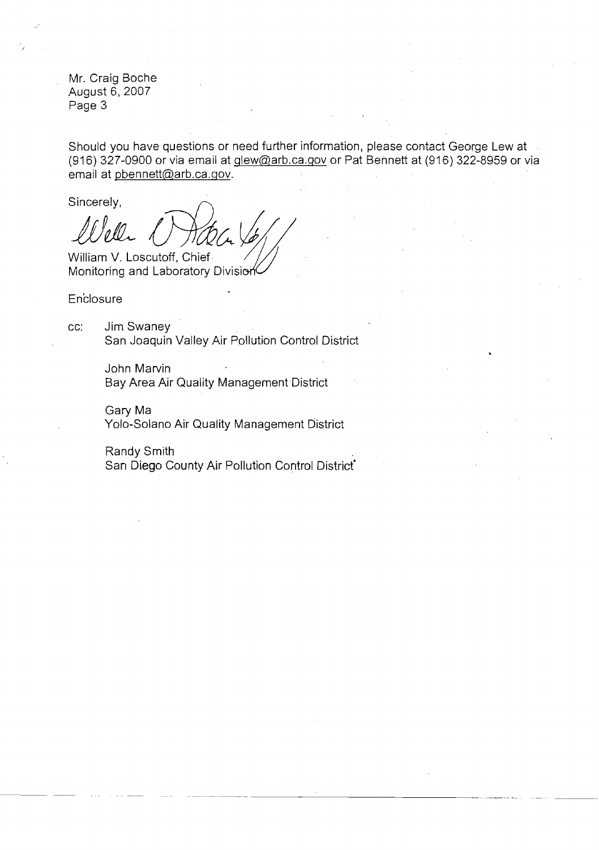Mr. Craig Boche August 6, 2007 Page 3

Should you have questions or need further information, please contact George Lew at (916) 327-0900 or via email at  $g$ lew@arb.ca.gov or Pat Bennett at (916) 322-8959 or via email at [pbennett@arb.ca.gov.](mailto:pbennett@arb.ca.gov)

 $LML$   $DMAC.$ Well (*Hatch John)* 

**Enclosure** 

cc: Jim Swaney San Joaquin Valley Air Pollution Control District

> John Marvin Bay Area Air Quality Management District

Gary Ma Yolo-Solano Air Quality Management District

Randy Smith . San Diego County Air Pollution Control District'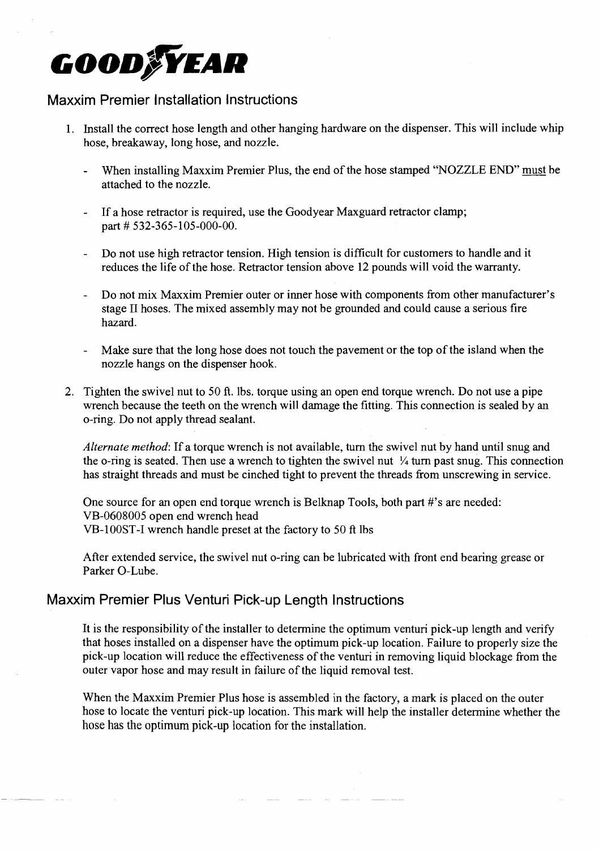# **GOOD/YEAR**

#### **Maxxim Premier Installation Instructions**

- 1. Install the correct hose length and other hanging hardware on the dispenser. This will include whip hose, breakaway, long hose, and nozzle.
	- When installing Maxxim Premier Plus, the end of the hose stamped "NOZZLE END" must be attached to the nozzle.
	- If a hose retractor is required, use the Goodyear Maxguard retractor clamp; part # 532-365-105-000-00.
	- Do not use high retractor tension. High tension is difficult for customers to handle and it reduces the life of the hose. Retractor tension above 12 pounds will void the warranty.
	- Do not mix Maxxim Premier outer or inner hose with components from other manufacturer's stage II hoses. The mixed assembly may not be grounded and could cause a serious fire hazard.
	- Make sure that the long hose does not touch the pavement or the top of the island when the nozzle hangs on the dispenser hook.
- 2. Tighten the swivel nut to 50 ft. lbs. torque using an open end torque wrench. Do not use a pipe wrench because the teeth on the wrench will damage the fitting. This connection is sealed by an o-ring. Do not apply thread sealant.

*Alternate method:* If a torque wrench is not available, tum the swivel nut by hand until snug and the o-ring is seated. Then use a wrench to tighten the swivel nut  $\frac{1}{4}$  turn past snug. This connection has straight threads and must be cinched tight to prevent the threads from unscrewing in service.

One source for an open end torque wrench is Belknap Tools, both part #'s are needed: VB-0608005 open end wrench head VB-lO0ST-1 wrench handle preset at the factory to 50 ft lbs

After extended service, the swivel nut o-ring can be lubricated with front end bearing grease or Parker O-Lube.

#### **Maxxim Premier Plus Venturi Pick-up Length Instructions**

It is the responsibility of the installer to determine the optimum venturi pick-up length and verify that hoses installed on a dispenser have the optimum pick-up location. Failure to properly size the pick-up location will reduce the effectiveness of the venturi in removing liquid blockage from the outer vapor hose and may result in failure of the liquid removal test.

When the Maxxim Premier Plus hose is assembled in the factory, a mark is placed on the outer hose to locate the venturi pick-up location. This mark will help the installer determine whether the hose has the optimum pick-up location for the installation.